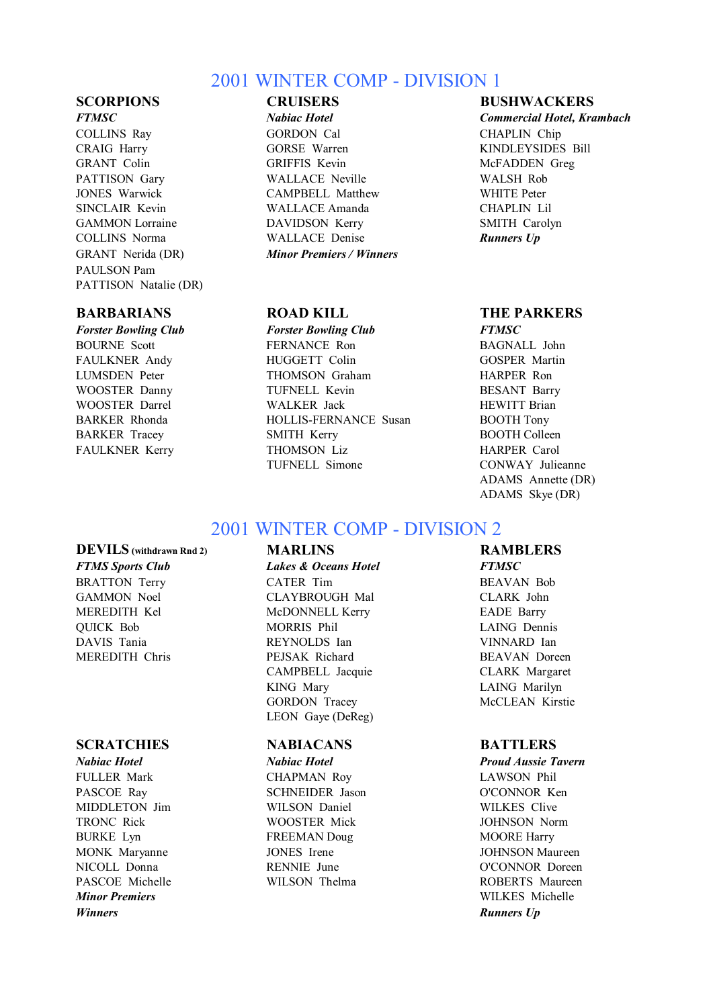## 2001 WINTER COMP - DIVISION 1

PAULSON Pam PATTISON Natalie (DR)

### **BARBARIANS ROAD KILL THE PARKERS**

*FTMSC Nabiac Hotel Commercial Hotel, Krambach* COLLINS Ray GORDON Cal CHAPLIN Chip CRAIG Harry **GORSE Warren KINDLEYSIDES Bill** GRANT Colin GRIFFIS Kevin McFADDEN Greg PATTISON Gary **WALLACE Neville** WALSH Rob JONES Warwick CAMPBELL Matthew WHITE Peter SINCLAIR Kevin WALLACE Amanda CHAPLIN Lil GAMMON Lorraine **DAVIDSON Kerry** SMITH Carolyn COLLINS Norma WALLACE Denise *Runners Up* GRANT Nerida (DR) *Minor Premiers / Winners*

*Forster Bowling Club Forster Bowling Club FTMSC* BOURNE Scott **FERNANCE Ron** BAGNALL John FAULKNER Andy **HUGGETT Colin** GOSPER Martin LUMSDEN Peter THOMSON Graham HARPER Ron WOOSTER Danny **TUFNELL Kevin** BESANT Barry WOOSTER Darrel WALKER Jack HEWITT Brian BARKER Rhonda HOLLIS-FERNANCE Susan BOOTH Tony BARKER Tracey SMITH Kerry BOOTH Colleen FAULKNER Kerry THOMSON Liz **HARPER Carol** TUFNELL Simone CONWAY Julieanne

### **SCORPIONS CRUISERS BUSHWACKERS**

ADAMS Annette (DR) ADAMS Skye (DR)

# 2001 WINTER COMP - DIVISION 2

### **DEVILS (withdrawn Rnd 2) MARLINS RAMBLERS** *FTMS Sports Club Lakes & Oceans Hotel FTMSC* BRATTON Terry **CATER Tim** BEAVAN Bob GAMMON Noel CLAYBROUGH Mal CLARK John MEREDITH Kel McDONNELL Kerry EADE Barry QUICK Bob MORRIS Phil LAING Dennis DAVIS Tania REYNOLDS Ian VINNARD Ian MEREDITH Chris PEJSAK Richard BEAVAN Doreen

### **SCRATCHIES NABIACANS BATTLERS**

*Minor Premiers* WILKES Michelle *Winners Runners Up* 

CAMPBELL Jacquie CLARK Margaret KING Mary LAING Marilyn GORDON Tracey McCLEAN Kirstie LEON Gaye (DeReg)

FULLER Mark CHAPMAN Roy LAWSON Phil PASCOE Ray SCHNEIDER Jason O'CONNOR Ken MIDDLETON Jim WILSON Daniel WILKES Clive TRONC Rick WOOSTER Mick JOHNSON Norm BURKE Lyn FREEMAN Doug MOORE Harry

*Nabiac Hotel Nabiac Hotel Proud Aussie Tavern* MONK Maryanne JONES Irene JOHNSON Maureen NICOLL Donna RENNIE June O'CONNOR Doreen PASCOE Michelle WILSON Thelma ROBERTS Maureen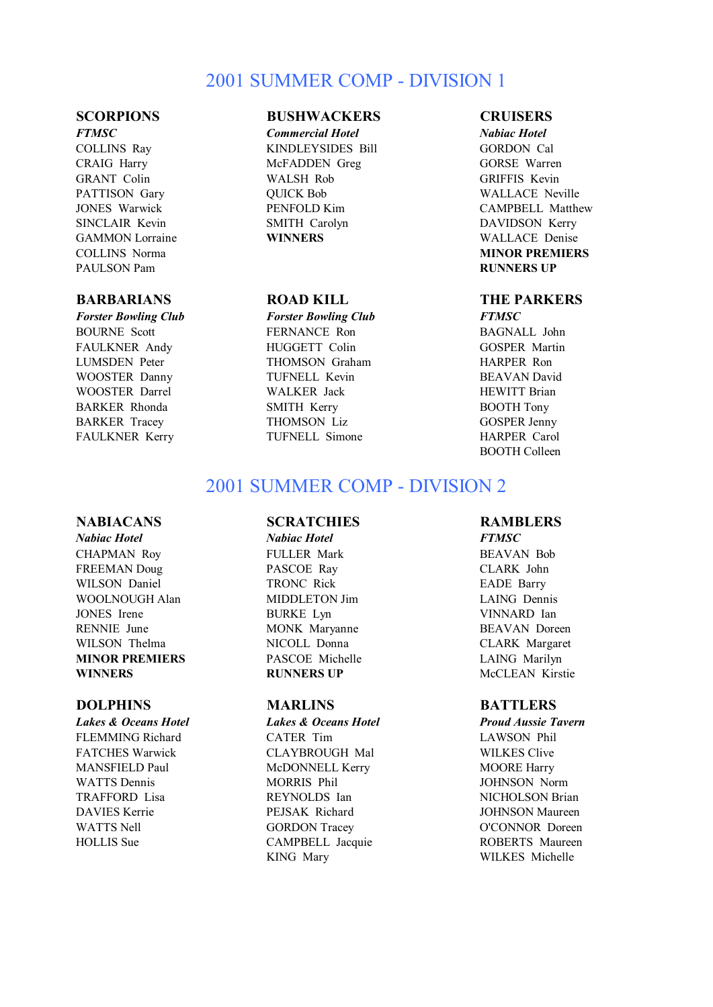# 2001 SUMMER COMP - DIVISION 1

PAULSON Pam **RUNNERS UP**

### **BARBARIANS ROAD KILL THE PARKERS**

*Forster Bowling Club Forster Bowling Club FTMSC*

### **SCORPIONS BUSHWACKERS CRUISERS**

*FTMSC Commercial Hotel Nabiac Hotel* COLLINS Ray KINDLEYSIDES Bill GORDON Cal CRAIG Harry McFADDEN Greg GORSE Warren GRANT Colin WALSH Rob GRIFFIS Kevin PATTISON Gary **DUICK Bob** WALLACE Neville SINCLAIR Kevin SMITH Carolyn DAVIDSON Kerry GAMMON Lorraine **WINNERS** WALLACE Denise

BOURNE Scott **FERNANCE Ron** BAGNALL John FAULKNER Andy **HUGGETT Colin** GOSPER Martin LUMSDEN Peter THOMSON Graham HARPER Ron WOOSTER Danny **TUFNELL Kevin** BEAVAN David WOOSTER Darrel **WALKER Jack** HEWITT Brian BARKER Rhonda SMITH Kerry BOOTH Tony BARKER Tracey THOMSON Liz GOSPER Jenny FAULKNER Kerry TUFNELL Simone HARPER Carol

JONES Warwick PENFOLD Kim CAMPBELL Matthew COLLINS Norma **MINOR PREMIERS**

BOOTH Colleen

# 2001 SUMMER COMP - DIVISION 2

### **NABIACANS SCRATCHIES RAMBLERS**

*Nabiac Hotel Nabiac Hotel FTMSC* CHAPMAN Roy **FULLER Mark** BEAVAN Bob FREEMAN Doug PASCOE Ray CLARK John WILSON Daniel **TRONC Rick** EADE Barry WOOLNOUGH Alan MIDDLETON Jim LAING Dennis JONES Irene BURKE Lyn VINNARD Ian RENNIE June MONK Maryanne BEAVAN Doreen WILSON Thelma **NICOLL Donna** CLARK Margaret **MINOR PREMIERS** PASCOE Michelle LAING Marilyn **WINNERS RUNNERS UP** McCLEAN Kirstie

FLEMMING Richard CATER Tim LAWSON Phil FATCHES Warwick **CLAYBROUGH Mal** WILKES Clive MANSFIELD Paul **MCDONNELL Kerry MCOORE Harry** MOORE Harry WATTS Dennis **MORRIS** Phil **MORRIS Phil MORRIS** Phil **JOHNSON** Norm TRAFFORD Lisa **REYNOLDS** Ian NICHOLSON Brian DAVIES Kerrie PEJSAK Richard JOHNSON Maureen WATTS Nell **GORDON** Tracey **O'CONNOR** Doreen HOLLIS Sue CAMPBELL Jacquie ROBERTS Maureen KING Mary WILKES Michelle

### **DOLPHINS MARLINS BATTLERS**

*Lakes & Oceans Hotel Lakes & Oceans Hotel Proud Aussie Tavern*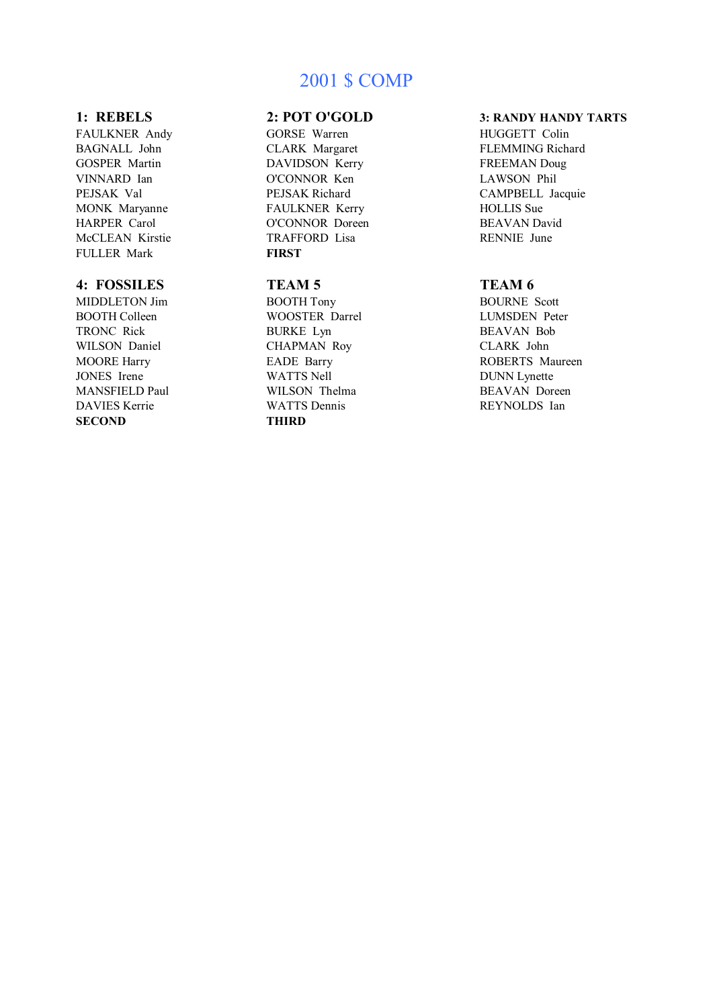# 2001 \$ COMP

FULLER Mark **FIRST** 

### **4: FOSSILES TEAM 5 TEAM 6**

DAVIES Kerrie WATTS Dennis **SECOND THIRD**

FAULKNER Andy **GORSE Warren HUGGETT Colin** GOSPER Martin **DAVIDSON Kerry FREEMAN Doug** VINNARD Ian O'CONNOR Ken LAWSON Phil MONK Maryanne FAULKNER Kerry HOLLIS Sue HARPER Carol O'CONNOR Doreen BEAVAN David McCLEAN Kirstie TRAFFORD Lisa RENNIE June

MIDDLETON Jim BOOTH Tony BOURNE Scott BOOTH Colleen WOOSTER Darrel LUMSDEN Peter TRONC Rick BURKE Lyn BEAVAN Bob WILSON Daniel CHAPMAN Roy CLARK John JONES Irene WATTS Nell DUNN Lynette MANSFIELD Paul WILSON Thelma BEAVAN Doreen<br>DAVIES Kerrie WATTS Dennis REYNOLDS Ian

### **1: REBELS 2: POT O'GOLD 3: RANDY HANDY TARTS**

BAGNALL John CLARK Margaret FLEMMING Richard CAMPBELL Jacquie

ROBERTS Maureen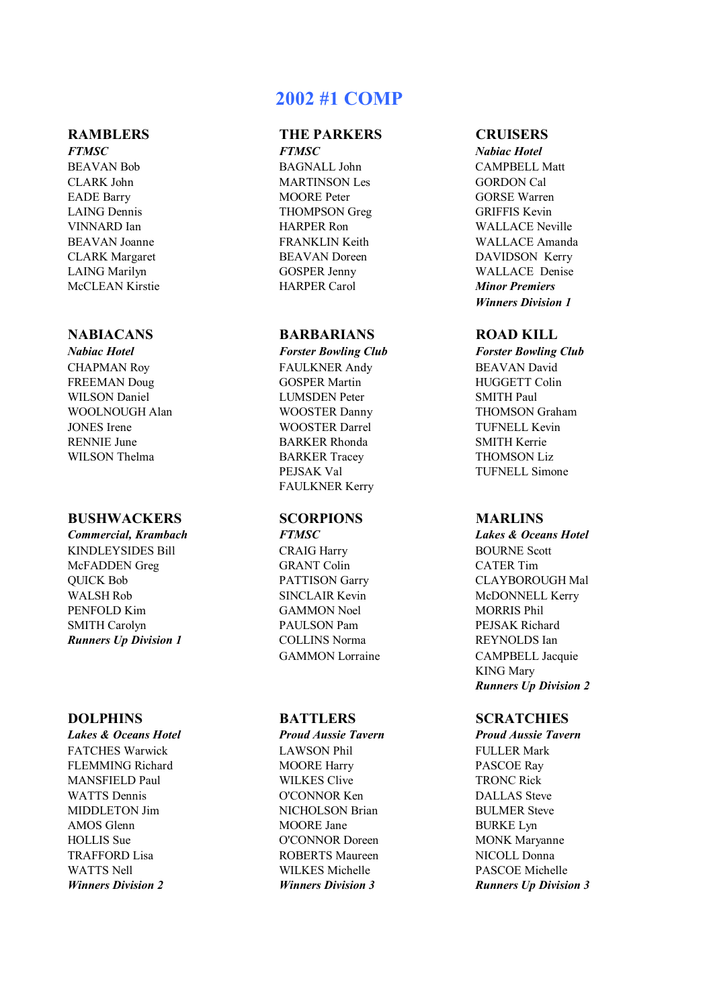BEAVAN Bob BAGNALL John CAMPBELL Matt

### **BUSHWACKERS SCORPIONS MARLINS**

*Commercial, Krambach FTMSC Lakes & Oceans Hotel* KINDLEYSIDES Bill CRAIG Harry BOURNE Scott McFADDEN Greg GRANT Colin QUICK Bob PATTISON Garry CLAYBOROUGH Mal WALSH Rob SINCLAIR Kevin McDONNELL Kerry PENFOLD Kim GAMMON Noel MORRIS Phil SMITH Carolyn **PAULSON Pam PEJSAK Richard** *Runners Up Division 1* COLLINS Norma **REYNOLDS** Ian

FATCHES Warwick **LAWSON Phil** FULLER Mark FLEMMING Richard **MOORE Harry PASCOE Ray** MANSFIELD Paul WILKES Clive TRONC Rick WATTS Dennis **O'CONNOR Ken** DALLAS Steve MIDDLETON Jim NICHOLSON Brian BULMER Steve AMOS Glenn MOORE Jane BURKE Lyn HOLLIS Sue  $O'CONNOR$  Doreen MONK Maryanne TRAFFORD Lisa ROBERTS Maureen NICOLL Donna WATTS Nell **WILKES Michelle** PASCOE Michelle

# **2002 #1 COMP**

### **RAMBLERS THE PARKERS CRUISERS** *FTMSC FTMSC Nabiac Hotel*

CLARK John MARTINSON Les GORDON Cal EADE Barry MOORE Peter GORSE Warren LAING Dennis THOMPSON Greg GRIFFIS Kevin McCLEAN Kirstie HARPER Carol *Minor Premiers*

### **NABIACANS BARBARIANS ROAD KILL**

CHAPMAN Roy FAULKNER Andy BEAVAN David FREEMAN Doug GOSPER Martin HUGGETT Colin WILSON Daniel **LUMSDEN** Peter SMITH Paul WOOLNOUGH Alan **WOOSTER Danny** THOMSON Graham JONES Irene WOOSTER Darrel TUFNELL Kevin<br>RENNIE June BARKER Rhonda SMITH Kerrie **BARKER Rhonda** WILSON Thelma BARKER Tracey THOMSON Liz PEJSAK Val TUFNELL Simone FAULKNER Kerry

*Lakes & Oceans Hotel Proud Aussie Tavern Proud Aussie Tavern*

VINNARD Ian HARPER Ron WALLACE Neville BEAVAN Joanne FRANKLIN Keith WALLACE Amanda CLARK Margaret BEAVAN Doreen DAVIDSON Kerry LAING Marilyn GOSPER Jenny WALLACE Denise *Winners Division 1*

*Nabiac Hotel Forster Bowling Club Forster Bowling Club*

GAMMON Lorraine CAMPBELL Jacquie KING Mary *Runners Up Division 2*

### **DOLPHINS BATTLERS SCRATCHIES**

*Winners Division 2 Winners Division 3 Runners Up Division 3*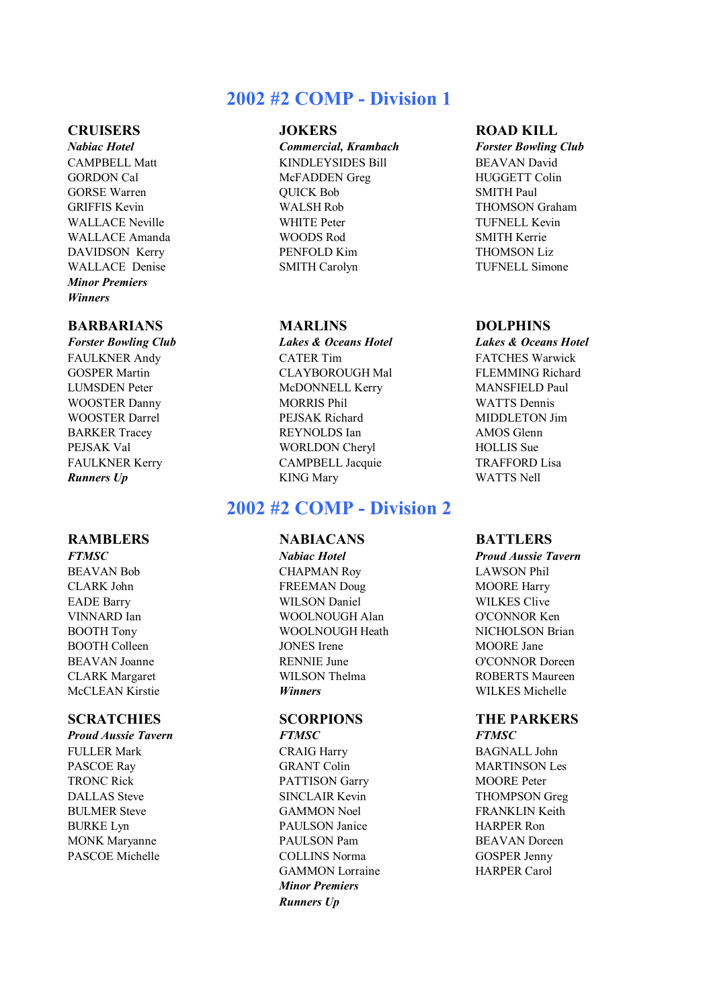# **2002 #2 COMP - Division 1**

*Minor Premiers Winners*

### **BARBARIANS MARLINS DOLPHINS**

### **RAMBLERS NABIACANS BATTLERS**

FULLER Mark CRAIG Harry BAGNALL John PASCOE Ray GRANT Colin MARTINSON Les TRONC Rick **PATTISON Garry MOORE Peter** DALLAS Steve SINCLAIR Kevin THOMPSON Greg BULMER Steve GAMMON Noel FRANKLIN Keith BURKE Lyn PAULSON Janice HARPER Ron MONK Maryanne PAULSON Pam BEAVAN Doreen PASCOE Michelle COLLINS Norma GOSPER Jenny

*Nabiac Hotel Commercial, Krambach Forster Bowling Club* CAMPBELL Matt KINDLEYSIDES Bill BEAVAN David GORDON Cal McFADDEN Greg HUGGETT Colin GORSE Warren **GUICK Bob** SMITH Paul GRIFFIS Kevin **WALSH Rob** WALSH Rob THOMSON Graham WALLACE Neville **WHITE Peter** TUFNELL Kevin WALLACE Amanda WOODS Rod SMITH Kerrie DAVIDSON Kerry PENFOLD Kim THOMSON Liz WALLACE Denise SMITH Carolyn TUFNELL Simone

FAULKNER Andy **CATER Tim** FATCHES Warwick GOSPER Martin CLAYBOROUGH Mal FLEMMING Richard LUMSDEN Peter McDONNELL Kerry MANSFIELD Paul WOOSTER Danny MORRIS Phil WATTS Dennis WOOSTER Darrel **PEJSAK Richard MIDDLETON Jim** BARKER Tracey **REYNOLDS** Ian AMOS Glenn PEJSAK Val WORLDON Cheryl HOLLIS Sue FAULKNER Kerry **CAMPBELL Jacquie TRAFFORD Lisa** *Runners Up* KING Mary WATTS Nell

## **2002 #2 COMP - Division 2**

BEAVAN Bob CHAPMAN Roy LAWSON Phil CLARK John FREEMAN Doug MOORE Harry EADE Barry WILSON Daniel WILKES Clive VINNARD Ian WOOLNOUGH Alan O'CONNOR Ken BOOTH Tony WOOLNOUGH Heath NICHOLSON Brian BOOTH Colleen JONES Irene MOORE Jane BEAVAN Joanne RENNIE June O'CONNOR Doreen CLARK Margaret WILSON Thelma ROBERTS Maureen McCLEAN Kirstie *Winners* WILKES Michelle

# *Proud Aussie Tavern FTMSC FTMSC*

GAMMON Lorraine HARPER Carol *Minor Premiers Runners Up*

### **CRUISERS JOKERS ROAD KILL**

*Forster Bowling Club Lakes & Oceans Hotel Lakes & Oceans Hotel*

*FTMSC Nabiac Hotel Proud Aussie Tavern*

# **SCRATCHIES SCORPIONS THE PARKERS**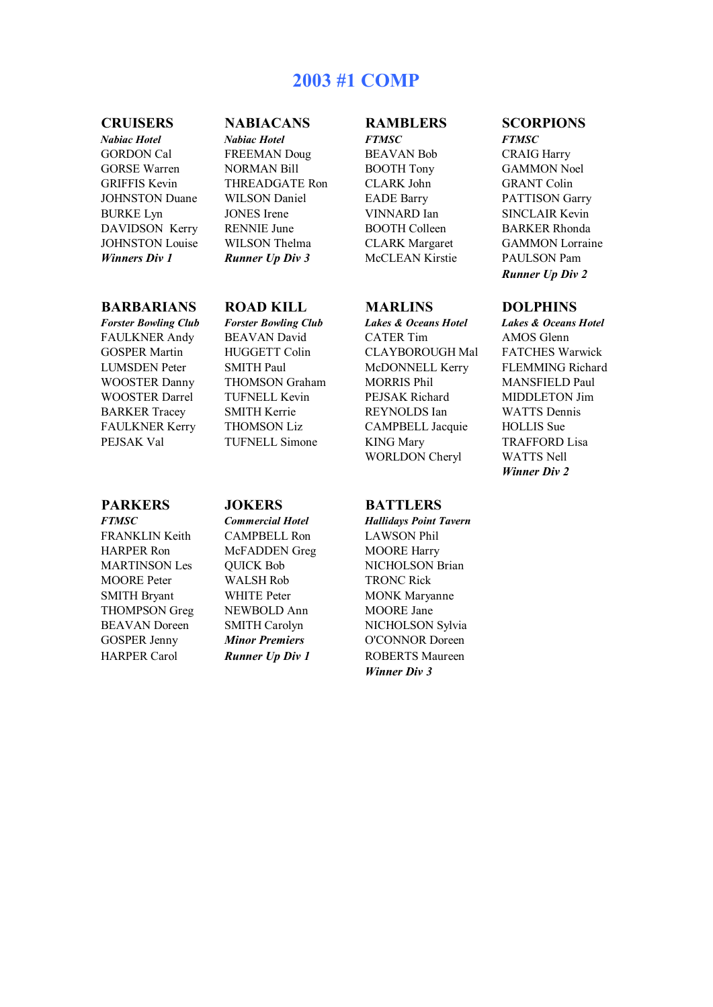# **2003 #1 COMP**

### **BARBARIANS ROAD KILL MARLINS DOLPHINS**

*FTMSC Commercial Hotel Hallidays Point Tavern* FRANKLIN Keith CAMPBELL Ron LAWSON Phil HARPER Ron McFADDEN Greg MOORE Harry MOORE Peter WALSH Rob TRONC Rick SMITH Bryant WHITE Peter MONK Maryanne THOMPSON Greg NEWBOLD Ann MOORE Jane

 $Nabiac$  *Hotel* GORDON Cal FREEMAN Doug BEAVAN Bob CRAIG Harry GORSE Warren MORMAN Bill BOOTH Tony GAMMON Noel GRIFFIS Kevin THREADGATE Ron CLARK John GRANT Colin JOHNSTON Duane WILSON Daniel EADE Barry PATTISON Garry BURKE Lyn JONES Irene VINNARD Ian SINCLAIR Kevin DAVIDSON Kerry RENNIE June BOOTH Colleen BARKER Rhonda *Winners Div 1 Runner Up Div 3* McCLEAN Kirstie PAULSON Pam

### **PARKERS JOKERS BATTLERS**

*Forster Bowling Club Forster Bowling Club Lakes & Oceans Hotel Lakes & Oceans Hotel* FAULKNER Andy BEAVAN David CATER Tim AMOS Glenn GOSPER Martin HUGGETT Colin CLAYBOROUGH Mal FATCHES Warwick LUMSDEN Peter SMITH Paul McDONNELL Kerry FLEMMING Richard WOOSTER Danny THOMSON Graham MORRIS Phil MANSFIELD Paul WOOSTER Darrel TUFNELL Kevin PEJSAK Richard MIDDLETON Jim BARKER Tracey SMITH Kerrie REYNOLDS Ian WATTS Dennis FAULKNER Kerry THOMSON Liz CAMPBELL Jacquie HOLLIS Sue<br>PEJSAK Val TUFNELL Simone KING Mary TRAFFORD TUFNELL Simone KING Mary TRAFFORD Lisa WORLDON Cheryl WATTS Nell

MARTINSON Les QUICK Bob NICHOLSON Brian BEAVAN Doreen SMITH Carolyn NICHOLSON Sylvia GOSPER Jenny *Minor Premiers* O'CONNOR Doreen HARPER Carol *Runner Up Div 1* ROBERTS Maureen *Winner Div 3*

# **CRUISERS NABIACANS RAMBLERS SCORPIONS**<br> *Nabiac Hotel Nabiac Hotel* **FTMSC FTMSC FTMSC**

JOHNSTON Louise WILSON Thelma CLARK Margaret GAMMON Lorraine *Runner Up Div 2*

*Winner Div 2*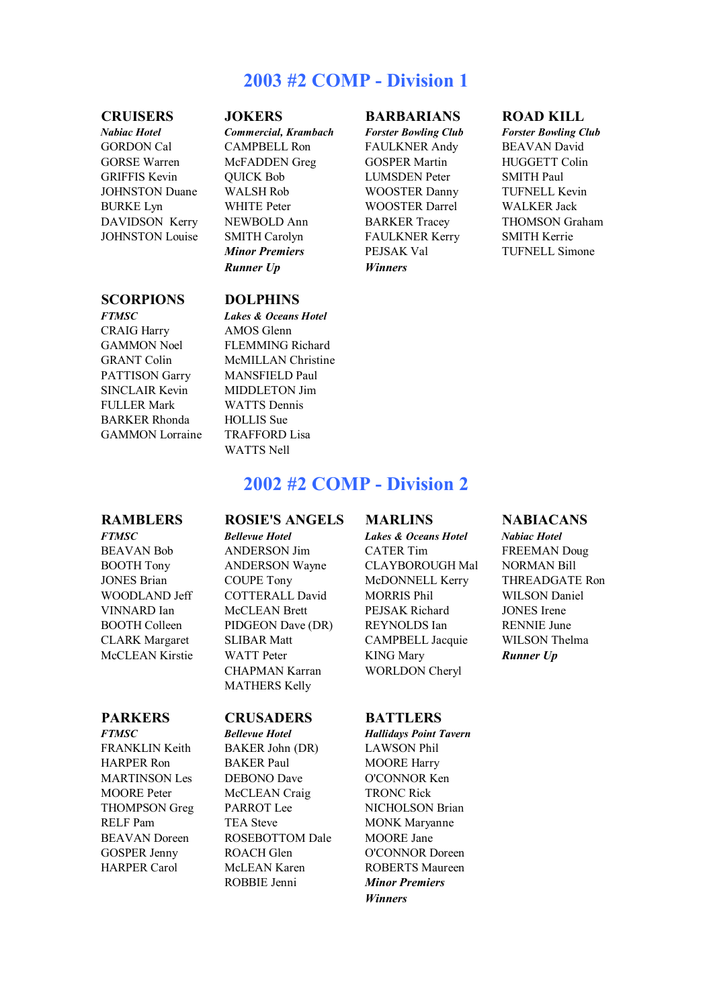# **2003 #2 COMP - Division 1**

*Nabiac Hotel Commercial, Krambach Forster Bowling Club Forster Bowling Club*

### **SCORPIONS DOLPHINS**

CRAIG Harry AMOS Glenn PATTISON Garry MANSFIELD Paul SINCLAIR Kevin MIDDLETON Jim FULLER Mark WATTS Dennis BARKER Rhonda HOLLIS Sue GAMMON Lorraine TRAFFORD Lisa

*FTMSC Lakes & Oceans Hotel* GAMMON Noel FLEMMING Richard GRANT Colin McMILLAN Christine WATTS Nell

### **CRUISERS JOKERS BARBARIANS ROAD KILL**

GORDON Cal CAMPBELL Ron FAULKNER Andy BEAVAN David GORSE Warren McFADDEN Greg GOSPER Martin HUGGETT Colin GRIFFIS Kevin QUICK Bob LUMSDEN Peter SMITH Paul JOHNSTON Duane WALSH Rob WOOSTER Danny TUFNELL Kevin BURKE Lyn WHITE Peter WOOSTER Darrel WALKER Jack DAVIDSON Kerry NEWBOLD Ann BARKER Tracey THOMSON Graham JOHNSTON Louise SMITH Carolyn FAULKNER Kerry SMITH Kerrie *Minor Premiers* PEJSAK Val TUFNELL Simone *Runner Up Winners*

# **2002 #2 COMP - Division 2**

### **RAMBLERS ROSIE'S ANGELS MARLINS NABIACANS**

BEAVAN Bob ANDERSON Jim CATER Tim FREEMAN Doug BOOTH Tony ANDERSON Wayne CLAYBOROUGH Mal NORMAN Bill JONES Brian COUPE Tony McDONNELL Kerry THREADGATE Ron WOODLAND Jeff COTTERALL David MORRIS Phil WILSON Daniel VINNARD Ian McCLEAN Brett PEJSAK Richard JONES Irene BOOTH Colleen PIDGEON Dave (DR) REYNOLDS Ian RENNIE June CLARK Margaret SLIBAR Matt CAMPBELL Jacquie WILSON Thelma McCLEAN Kirstie WATT Peter KING Mary *Runner Up* CHAPMAN Karran WORLDON Cheryl MATHERS Kelly

### **PARKERS CRUSADERS BATTLERS**

FRANKLIN Keith BAKER John (DR) LAWSON Phil HARPER Ron BAKER Paul MOORE Harry MARTINSON Les DEBONO Dave O'CONNOR Ken MOORE Peter McCLEAN Craig TRONC Rick THOMPSON Greg PARROT Lee NICHOLSON Brian RELF Pam TEA Steve MONK Maryanne BEAVAN Doreen ROSEBOTTOM Dale MOORE Jane GOSPER Jenny ROACH Glen O'CONNOR Doreen HARPER Carol McLEAN Karen ROBERTS Maureen ROBBIE Jenni *Minor Premiers*

*FTMSC Bellevue Hotel Hallidays Point Tavern Winners*

*FTMSC Bellevue Hotel Lakes & Oceans Hotel Nabiac Hotel*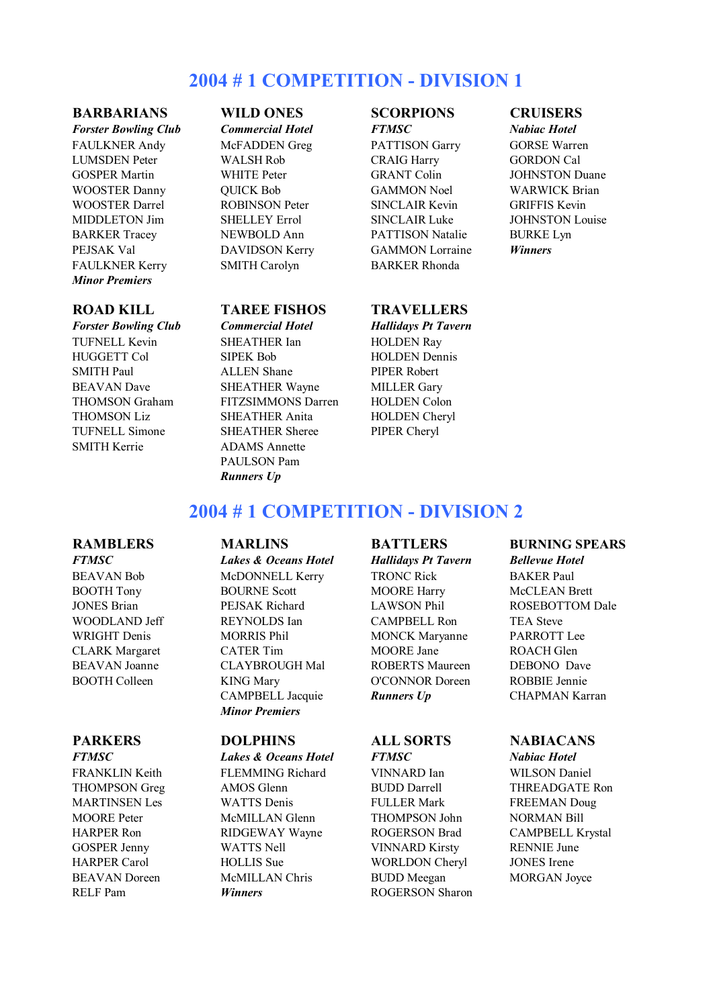# **2004 # 1 COMPETITION - DIVISION 1**

### **BARBARIANS WILD ONES SCORPIONS CRUISERS**

*Forster Bowling Club Commercial Hotel FTMSC Nabiac Hotel* FAULKNER Andy McFADDEN Greg PATTISON Garry GORSE Warren LUMSDEN Peter WALSH Rob CRAIG Harry GORDON Cal GOSPER Martin WHITE Peter GRANT Colin JOHNSTON Duane WOOSTER Danny QUICK Bob GAMMON Noel WARWICK Brian WOOSTER Darrel **ROBINSON Peter** SINCLAIR Kevin GRIFFIS Kevin MIDDLETON Jim SHELLEY Errol SINCLAIR Luke JOHNSTON Louise BARKER Tracey NEWBOLD Ann PATTISON Natalie BURKE Lyn PEJSAK Val DAVIDSON Kerry GAMMON Lorraine *Winners* FAULKNER Kerry SMITH Carolyn BARKER Rhonda *Minor Premiers*

SMITH Kerrie ADAMS Annette

### **ROAD KILL TAREE FISHOS TRAVELLERS**

*Forster Bowling Club Commercial Hotel Hallidays Pt Tavern* TUFNELL Kevin SHEATHER Ian HOLDEN Ray HUGGETT Col SIPEK Bob HOLDEN Dennis SMITH Paul **ALLEN** Shane PIPER Robert BEAVAN Dave SHEATHER Wayne MILLER Gary<br>THOMSON Graham FITZSIMMONS Darren HOLDEN Colc FITZSIMMONS Darren HOLDEN Colon THOMSON Liz SHEATHER Anita HOLDEN Cheryl TUFNELL Simone SHEATHER Sheree PIPER Cheryl PAULSON Pam *Runners Up*

# **2004 # 1 COMPETITION - DIVISION 2**

BEAVAN Bob McDONNELL Kerry TRONC Rick BAKER Paul BOOTH Tony BOURNE Scott MOORE Harry McCLEAN Brett JONES Brian PEJSAK Richard LAWSON Phil ROSEBOTTOM Dale WOODLAND Jeff REYNOLDS Ian CAMPBELL Ron TEA Steve WRIGHT Denis MORRIS Phil MONCK Maryanne PARROTT Lee CLARK Margaret CATER Tim MOORE Jane ROACH Glen BEAVAN Joanne CLAYBROUGH Mal ROBERTS Maureen DEBONO Dave BOOTH Colleen KING Mary O'CONNOR Doreen ROBBIE Jennie CAMPBELL Jacquie *Runners Up* CHAPMAN Karran *Minor Premiers*

*FTMSC Lakes & Oceans Hotel FTMSC Nabiac Hotel* FRANKLIN Keith FLEMMING Richard VINNARD Ian WILSON Daniel THOMPSON Greg AMOS Glenn BUDD Darrell THREADGATE Ron MARTINSEN Les WATTS Denis FULLER Mark FREEMAN Doug<br>MOORE Peter McMILLAN Glenn THOMPSON John NORMAN Bill MOORE Peter McMILLAN Glenn THOMPSON John NORMAN Bill HARPER Ron RIDGEWAY Wayne ROGERSON Brad CAMPBELL Krystal GOSPER Jenny WATTS Nell VINNARD Kirsty RENNIE June HARPER Carol HOLLIS Sue WORLDON Cheryl JONES Irene BEAVAN Doreen McMILLAN Chris BUDD Meegan MORGAN Joyce RELF Pam *Winners* ROGERSON Sharon

### **RAMBLERS MARLINS BATTLERS BURNING SPEARS**

*FTMSC Lakes & Oceans Hotel Hallidays Pt Tavern Bellevue Hotel*

### **PARKERS DOLPHINS ALL SORTS NABIACANS**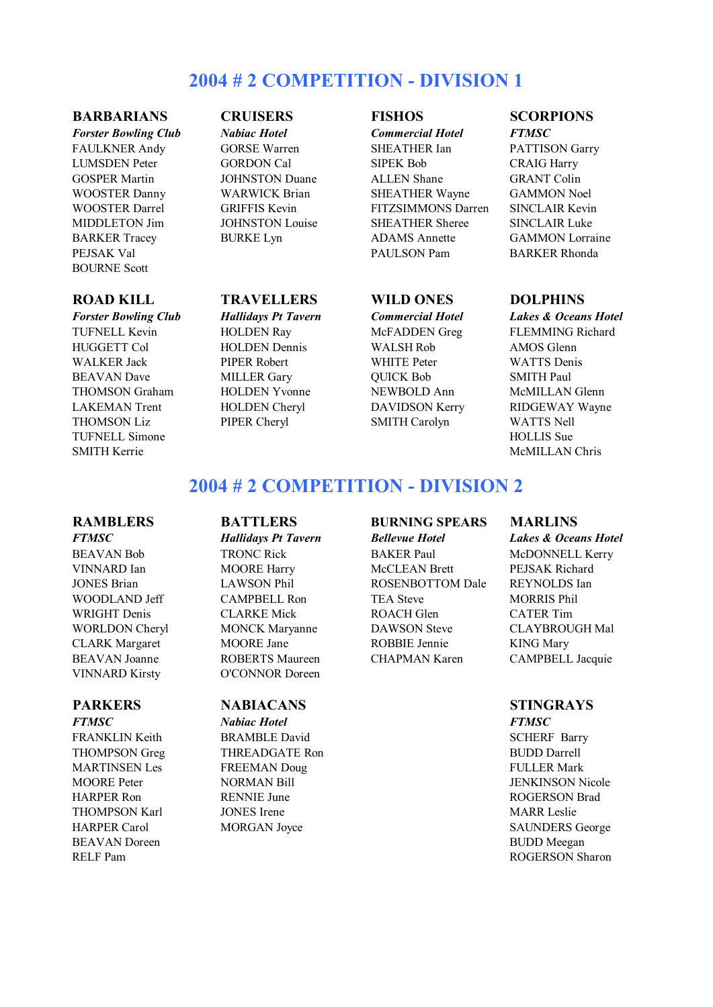# **2004 # 2 COMPETITION - DIVISION 1**

### **BARBARIANS CRUISERS FISHOS SCORPIONS**

*Forster Bowling Club Nabiac Hotel Commercial Hotel FTMSC* PEJSAK Val **PAULSON Pam** BARKER Rhonda BOURNE Scott

FAULKNER Andy GORSE Warren SHEATHER Ian PATTISON Garry LUMSDEN Peter GORDON Cal SIPEK Bob CRAIG Harry GOSPER Martin JOHNSTON Duane ALLEN Shane GRANT Colin WOOSTER Danny WARWICK Brian SHEATHER Wayne GAMMON Noel WOOSTER Darrel GRIFFIS Kevin FITZSIMMONS Darren SINCLAIR Kevin MIDDLETON Jim JOHNSTON Louise SHEATHER Sheree SINCLAIR Luke BARKER Tracey BURKE Lyn ADAMS Annette GAMMON Lorraine

### **ROAD KILL TRAVELLERS WILD ONES DOLPHINS**

*Forster Bowling Club Hallidays Pt Tavern Commercial Hotel Lakes & Oceans Hotel* TUFNELL Kevin **HOLDEN Ray** McFADDEN Greg FLEMMING Richard HUGGETT Col HOLDEN Dennis WALSH Rob AMOS Glenn WALKER Jack PIPER Robert WHITE Peter WATTS Denis BEAVAN Dave MILLER Gary QUICK Bob SMITH Paul THOMSON Graham HOLDEN Yvonne NEWBOLD Ann McMILLAN Glenn THOMSON Liz PIPER Cheryl SMITH Carolyn WATTS Nell

- 
- LAKEMAN Trent HOLDEN Cheryl DAVIDSON Kerry RIDGEWAY Wayne TUFNELL Simone HOLLIS Sue SMITH Kerrie McMILLAN Chris

# **2004 # 2 COMPETITION - DIVISION 2**

BEAVAN Doreen BUDD Meegan

VINNARD Kirsty O'CONNOR Doreen

### **PARKERS NABIACANS STINGRAYS**

*FTMSC Nabiac Hotel FTMSC* FRANKLIN Keith BRAMBLE David SCHERF Barry THOMPSON Greg THREADGATE Ron BUDD Darrell MARTINSEN Les FREEMAN Doug FULLER Mark MOORE Peter NORMAN Bill JENKINSON Nicole HARPER Ron RENNIE June ROGERSON Brad THOMPSON Karl **JONES Irene MARR Leslie** MARR Leslie HARPER Carol MORGAN Joyce SAUNDERS George

## **RAMBLERS BATTLERS BURNING SPEARS MARLINS**

BEAVAN Bob TRONC Rick BAKER Paul McDONNELL Kerry VINNARD Ian MOORE Harry McCLEAN Brett PEJSAK Richard JONES Brian LAWSON Phil ROSENBOTTOM Dale REYNOLDS Ian WOODLAND Jeff CAMPBELL Ron TEA Steve MORRIS Phil WRIGHT Denis CLARKE Mick ROACH Glen CATER Tim WORLDON Cheryl MONCK Maryanne DAWSON Steve CLAYBROUGH Mal CLARK Margaret MOORE Jane ROBBIE Jennie KING Mary BEAVAN Joanne ROBERTS Maureen CHAPMAN Karen CAMPBELL Jacquie

*FTMSC Hallidays Pt Tavern Bellevue Hotel Lakes & Oceans Hotel*

RELF Pam ROGERSON Sharon ROGERSON Sharon ROGERSON Sharon ROGERSON Sharon ROGERSON Sharon ROGERSON Sharon ROGERSON Sharon ROGERSON Sharon ROGERSON Sharon ROGERSON Sharon ROGERSON Sharon ROGERSON Sharon ROGERSON Sharon ROGER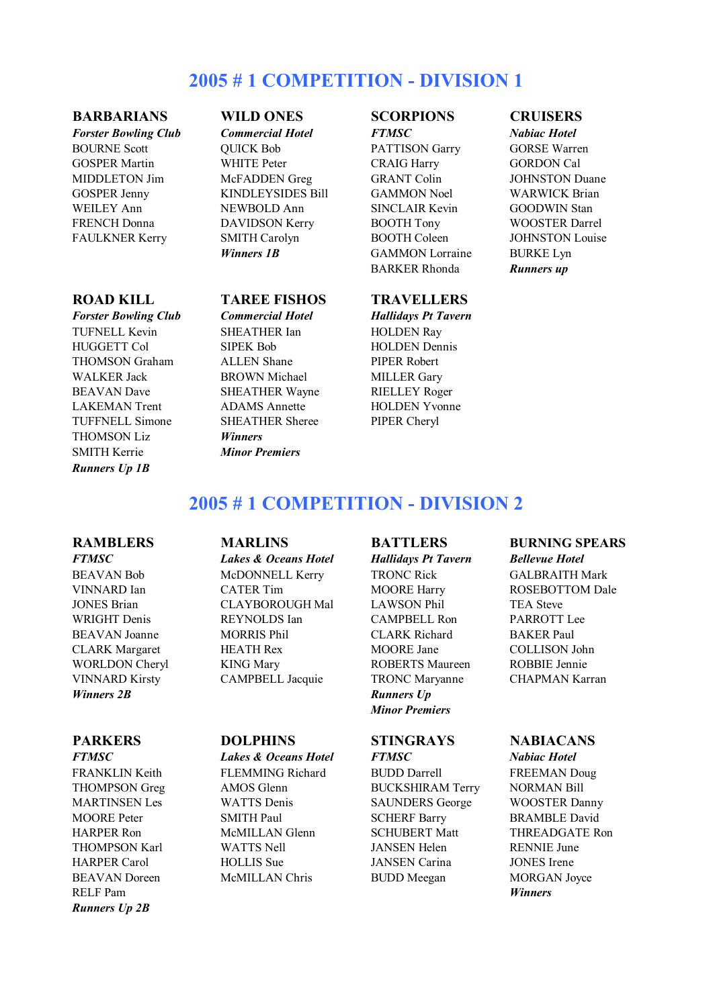# **2005 # 1 COMPETITION - DIVISION 1**

### **BARBARIANS WILD ONES SCORPIONS CRUISERS**

*Forster Bowling Club Commercial Hotel FTMSC Nabiac Hotel* BOURNE Scott QUICK Bob PATTISON Garry GORSE Warren GOSPER Martin WHITE Peter CRAIG Harry GORDON Cal MIDDLETON Jim McFADDEN Greg GRANT Colin JOHNSTON Duane<br>GOSPER Jenny KINDLEYSIDES Bill GAMMON Noel WARWICK Brian GOSPER Jenny KINDLEYSIDES Bill GAMMON Noel WEILEY Ann **NEWBOLD Ann** SINCLAIR Kevin GOODWIN Stan FRENCH Donna DAVIDSON Kerry BOOTH Tony WOOSTER Darrel FAULKNER Kerry SMITH Carolyn BOOTH Coleen JOHNSTON Louise

### TUFNELL Kevin SHEATHER Ian HOLDEN Ray HUGGETT Col SIPEK Bob HOLDEN Dennis THOMSON Graham ALLEN Shane PIPER Robert WALKER Jack BROWN Michael MILLER Gary BEAVAN Dave SHEATHER Wayne RIELLEY Roger LAKEMAN Trent ADAMS Annette HOLDEN Yvonne TUFFNELL Simone SHEATHER Sheree PIPER Cheryl THOMSON Liz *Winners* SMITH Kerrie *Minor Premiers Runners Up 1B*

**Winners 1B** GAMMON Lorraine BURKE Lyn BARKER Rhonda *Runners up*

### **ROAD KILL TAREE FISHOS TRAVELLERS**

*Forster Bowling Club Commercial Hotel Hallidays Pt Tavern*

# **2005 # 1 COMPETITION - DIVISION 2**

RELF Pam *Winners Runners Up 2B*

BEAVAN Bob McDONNELL Kerry TRONC Rick GALBRAITH Mark VINNARD Ian CATER Tim MOORE Harry ROSEBOTTOM Dale JONES Brian CLAYBOROUGH Mal LAWSON Phil TEA Steve WRIGHT Denis **REYNOLDS** Ian CAMPBELL Ron PARROTT Lee BEAVAN Joanne MORRIS Phil CLARK Richard BAKER Paul CLARK Margaret HEATH Rex MOORE Jane COLLISON John WORLDON Cheryl KING Mary ROBERTS Maureen ROBBIE Jennie VINNARD Kirsty CAMPBELL Jacquie TRONC Maryanne CHAPMAN Karran

# *FTMSC Lakes & Oceans Hotel Hallidays Pt Tavern Bellevue Hotel*

*Minor Premiers*

BEAVAN Doreen McMILLAN Chris BUDD Meegan MORGAN Joyce

### **RAMBLERS MARLINS BATTLERS BURNING SPEARS**

### **PARKERS DOLPHINS STINGRAYS NABIACANS**

*Winners 2B* Runners Up

*FTMSC Lakes & Oceans Hotel FTMSC Nabiac Hotel* FRANKLIN Keith FLEMMING Richard BUDD Darrell FREEMAN Doug THOMPSON Greg AMOS Glenn BUCKSHIRAM Terry NORMAN Bill MARTINSEN Les WATTS Denis SAUNDERS George WOOSTER Danny<br>MOORE Peter SMITH Paul SCHERF Barry BRAMBLE David MOORE Peter SMITH Paul SCHERF Barry BRAMBLE David HARPER Ron McMILLAN Glenn SCHUBERT Matt THREADGATE Ron THOMPSON Karl WATTS Nell JANSEN Helen RENNIE June HARPER Carol HOLLIS Sue JANSEN Carina JONES Irene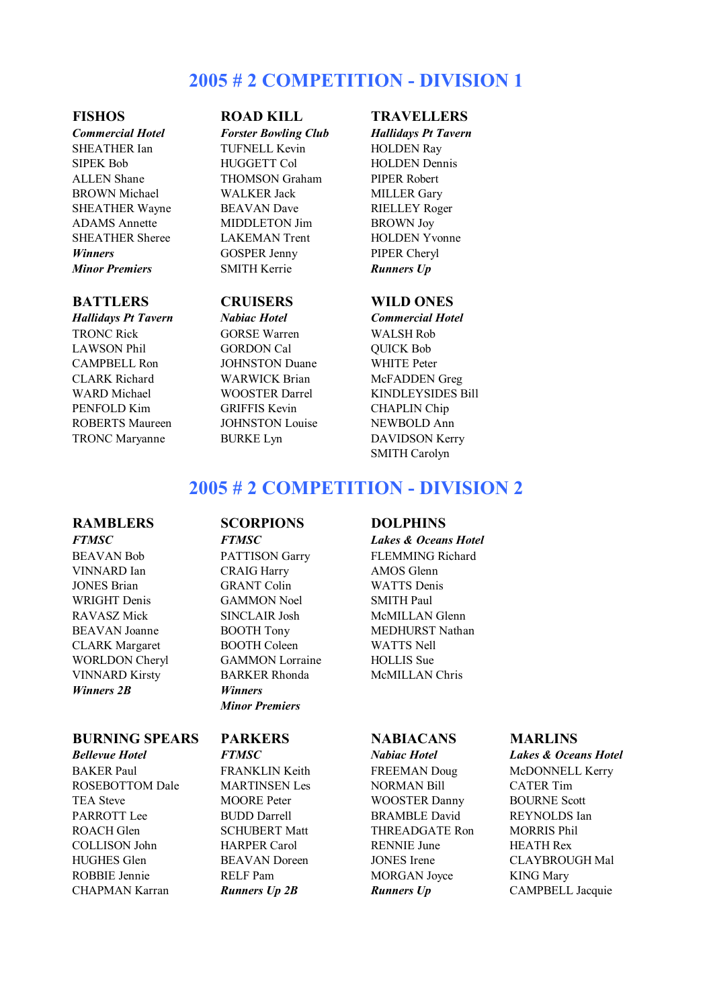# **2005 # 2 COMPETITION - DIVISION 1**

TRONC Rick GORSE Warren WALSH Rob LAWSON Phil GORDON Cal OUICK Bob CAMPBELL Ron JOHNSTON Duane WHITE Peter CLARK Richard WARWICK Brian McFADDEN Greg PENFOLD Kim GRIFFIS Kevin CHAPLIN Chip ROBERTS Maureen JOHNSTON Louise NEWBOLD Ann TRONC Maryanne BURKE Lyn DAVIDSON Kerry

*Commercial Hotel Forster Bowling Club Hallidays Pt Tavern* SHEATHER Ian TUFNELL Kevin HOLDEN Rav SIPEK Bob HUGGETT Col HOLDEN Dennis ALLEN Shane THOMSON Graham PIPER Robert BROWN Michael WALKER Jack MILLER Gary SHEATHER Wayne BEAVAN Dave RIELLEY Roger ADAMS Annette MIDDLETON Jim BROWN Joy SHEATHER Sheree LAKEMAN Trent HOLDEN Yvonne **Winners** GOSPER Jenny PIPER Cheryl *Minor Premiers* SMITH Kerrie *Runners Up*

*Hallidays Pt Tavern Nabiac Hotel Commercial Hotel*

### **FISHOS ROAD KILL TRAVELLERS**

### **BATTLERS CRUISERS WILD ONES**

WARD Michael WOOSTER Darrel KINDLEYSIDES Bill SMITH Carolyn

# **2005 # 2 COMPETITION - DIVISION 2**

*Winners 2B Winners*

### **BURNING SPEARS PARKERS NABIACANS MARLINS**

ROSEBOTTOM Dale MARTINSEN Les NORMAN Bill CATER Tim TEA Steve MOORE Peter WOOSTER Danny BOURNE Scott PARROTT Lee BUDD Darrell BRAMBLE David REYNOLDS Ian ROACH Glen SCHUBERT Matt THREADGATE Ron MORRIS Phil COLLISON John HARPER Carol RENNIE June HEATH Rex HUGHES Glen BEAVAN Doreen JONES Irene CLAYBROUGH Mal ROBBIE Jennie RELF Pam MORGAN Joyce KING Mary CHAPMAN Karran *Runners Up 2B Runners Up* CAMPBELL Jacquie

VINNARD Ian CRAIG Harry AMOS Glenn JONES Brian GRANT Colin WATTS Denis WRIGHT Denis GAMMON Noel SMITH Paul RAVASZ Mick SINCLAIR Josh McMILLAN Glenn CLARK Margaret BOOTH Coleen WATTS Nell WORLDON Cheryl GAMMON Lorraine HOLLIS Sue VINNARD Kirsty BARKER Rhonda McMILLAN Chris *Minor Premiers*

### **RAMBLERS SCORPIONS DOLPHINS**

*FTMSC FTMSC Lakes & Oceans Hotel* BEAVAN Bob PATTISON Garry FLEMMING Richard BEAVAN Joanne BOOTH Tony MEDHURST Nathan

*Bellevue Hotel FTMSC Nabiac Hotel Lakes & Oceans Hotel* BAKER Paul FRANKLIN Keith FREEMAN Doug McDONNELL Kerry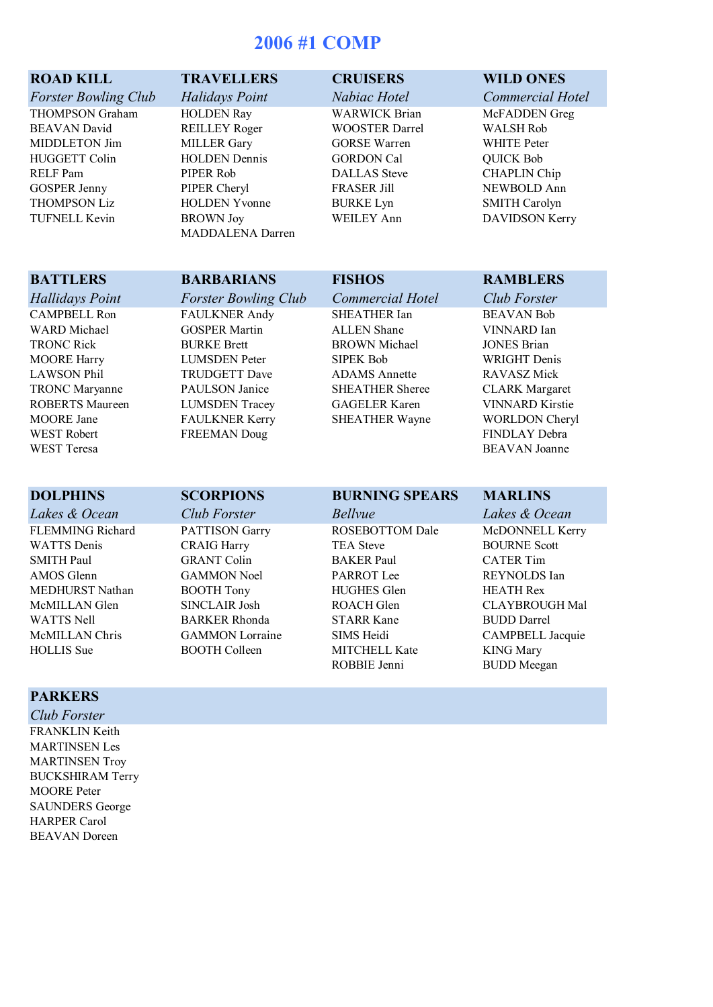# **2006 #1 COMP**

- *Forster Bowling Club Halidays Point Nabiac Hotel Commercial Hotel*
- THOMPSON Graham HOLDEN Ray WARWICK Brian McFADDEN Greg BEAVAN David REILLEY Roger WOOSTER Darrel WALSH Rob MIDDLETON Jim MILLER Gary GORSE Warren WHITE Peter HUGGETT Colin HOLDEN Dennis GORDON Cal QUICK Bob RELF Pam PIPER Rob DALLAS Steve CHAPLIN Chip GOSPER Jenny PIPER Cheryl FRASER Jill NEWBOLD Ann<br>THOMPSON Liz HOLDEN Yvonne BURKE Lyn SMITH Carolyn

HOLDEN Yvonne BURKE Lyn TUFNELL Kevin BROWN Joy WEILEY Ann DAVIDSON Kerry MADDALENA Darren

### **ROAD KILL TRAVELLERS CRUISERS WILD ONES**

WEST Robert **FREEMAN Doug** FINDLAY Debra WEST Teresa BEAVAN Joanne

## *Hallidays Point Forster Bowling Club Commercial Hotel Club Forster* CAMPBELL Ron FAULKNER Andy SHEATHER Ian BEAVAN Bob WARD Michael **GOSPER Martin** ALLEN Shane **VINNARD** Ian TRONC Rick BURKE Brett BROWN Michael JONES Brian MOORE Harry LUMSDEN Peter SIPEK Bob WRIGHT Denis LAWSON Phil TRUDGETT Dave ADAMS Annette RAVASZ Mick

TRONC Maryanne PAULSON Janice SHEATHER Sheree CLARK Margaret ROBERTS Maureen LUMSDEN Tracey GAGELER Karen VINNARD Kirstie MOORE Jane FAULKNER Kerry SHEATHER Wayne WORLDON Cheryl

### **BATTLERS BARBARIANS FISHOS RAMBLERS**

FLEMMING Richard PATTISON Garry ROSEBOTTOM Dale McDONNELL Kerry WATTS Denis CRAIG Harry TEA Steve BOURNE Scott SMITH Paul **GRANT Colin** BAKER Paul **CATER Tim** AMOS Glenn GAMMON Noel PARROT Lee REYNOLDS Ian MEDHURST Nathan BOOTH Tony HUGHES Glen HEATH Rex McMILLAN Glen SINCLAIR Josh ROACH Glen CLAYBROUGH Mal WATTS Nell **BARKER Rhonda** STARR Kane BUDD Darrel

# **DOLPHINS SCORPIONS BURNING SPEARS MARLINS**

MITCHELL Kate KING Mary ROBBIE Jenni BUDD Meegan

*Lakes & Ocean Club Forster Bellvue Lakes & Ocean* McMILLAN Chris GAMMON Lorraine SIMS Heidi CAMPBELL Jacquie<br>
HOLLIS Sue BOOTH Colleen MITCHELL Kate KING Marv

### **PARKERS**

*Club Forster* FRANKLIN Keith MARTINSEN Les MARTINSEN Troy BUCKSHIRAM Terry MOORE Peter SAUNDERS George HARPER Carol BEAVAN Doreen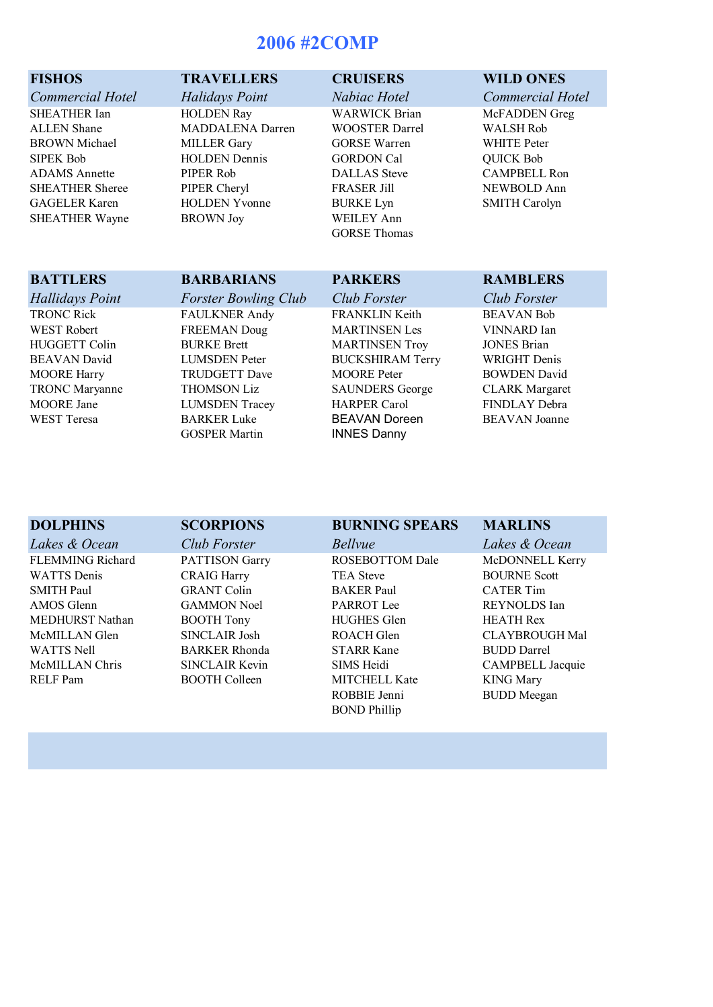# **2006 #2COMP**

- *Commercial Hotel Halidays Point Nabiac Hotel Commercial Hotel*
- ALLEN Shane MADDALENA Darren WOOSTER Darrel WALSH Rob BROWN Michael MILLER Gary GORSE Warren WHITE Peter SIPEK Bob **HOLDEN Dennis** GORDON Cal QUICK Bob ADAMS Annette PIPER Rob DALLAS Steve CAMPBELL Ron SHEATHER Sheree PIPER Cheryl FRASER Jill NEWBOLD Ann GAGELER Karen HOLDEN Yvonne BURKE Lyn SMITH Carolyn

SHEATHER Ian **HOLDEN Ray** WARWICK Brian McFADDEN Greg SHEATHER Wayne BROWN Joy WEILEY Ann

GORSE Thomas

### **FISHOS TRAVELLERS CRUISERS WILD ONES**

### **BATTLERS BARBARIANS PARKERS RAMBLERS** *Hallidays Point Forster Bowling Club Club Forster Club Forster* TRONC Rick FAULKNER Andy FRANKLIN Keith BEAVAN Bob WEST Robert **FREEMAN Doug** MARTINSEN Les VINNARD Ian HUGGETT Colin BURKE Brett MARTINSEN Troy JONES Brian BEAVAN David LUMSDEN Peter BUCKSHIRAM Terry WRIGHT Denis MOORE Harry **TRUDGETT Dave** MOORE Peter BOWDEN David TRONC Maryanne THOMSON Liz SAUNDERS George CLARK Margaret<br>MOORE Jane LUMSDEN Tracev HARPER Carol FINDLAY Debra LUMSDEN Tracey HARPER Carol FINDLAY Debra WEST Teresa BARKER Luke BEAVAN Doreen BEAVAN Joanne

GOSPER Martin **INNES Danny** 

| <b>DOLPHINS</b>         | <b>SCORPIONS</b>      | <b>BURNING SPEARS</b>  | <b>MARLINS</b>          |
|-------------------------|-----------------------|------------------------|-------------------------|
| Lakes & Ocean           | <b>Club Forster</b>   | <i>Bellvue</i>         | Lakes & Ocean           |
| <b>FLEMMING Richard</b> | <b>PATTISON Garry</b> | <b>ROSEBOTTOM Dale</b> | McDONNELL Kerry         |
| <b>WATTS</b> Denis      | <b>CRAIG Harry</b>    | <b>TEA Steve</b>       | <b>BOURNE Scott</b>     |
| <b>SMITH Paul</b>       | <b>GRANT Colin</b>    | <b>BAKER</b> Paul      | <b>CATER Tim</b>        |
| AMOS Glenn              | <b>GAMMON Noel</b>    | <b>PARROT</b> Lee      | REYNOLDS Ian            |
| MEDHURST Nathan         | <b>BOOTH Tony</b>     | <b>HUGHES Glen</b>     | <b>HEATH Rex</b>        |
| McMILLAN Glen           | SINCLAIR Josh         | ROACH Glen             | <b>CLAYBROUGH Mal</b>   |
| <b>WATTS Nell</b>       | <b>BARKER Rhonda</b>  | <b>STARR Kane</b>      | <b>BUDD</b> Darrel      |
| McMILLAN Chris          | SINCLAIR Kevin        | SIMS Heidi             | <b>CAMPBELL Jacquie</b> |
| RELF Pam                | <b>BOOTH Colleen</b>  | <b>MITCHELL Kate</b>   | <b>KING Mary</b>        |
|                         |                       | ROBBIE Jenni           | <b>BUDD</b> Meegan      |
|                         |                       | <b>BOND</b> Phillip    |                         |
|                         |                       |                        |                         |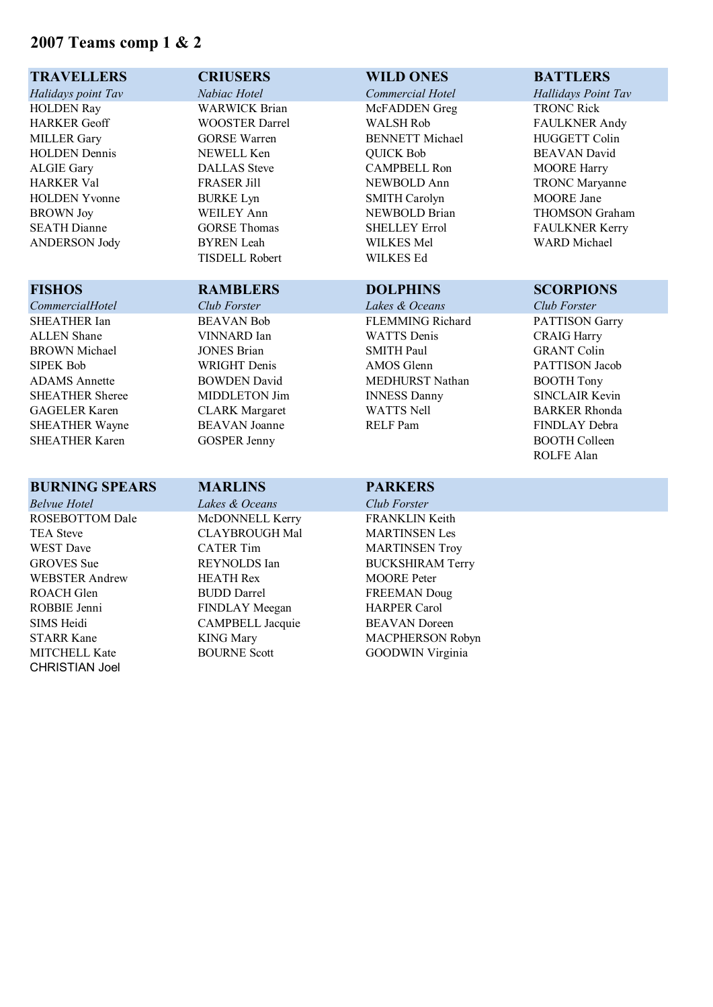# **2007 Teams comp 1 & 2**

CHRISTIAN Joel

| <b>TRAVELLERS</b>      | <b>CRIUSERS</b>         | <b>WILD ONES</b>        | <b>BATTLERS</b>       |
|------------------------|-------------------------|-------------------------|-----------------------|
| Halidays point Tav     | Nabiac Hotel            | Commercial Hotel        | Hallidays Point Tav   |
| <b>HOLDEN Ray</b>      | <b>WARWICK Brian</b>    | McFADDEN Greg           | <b>TRONC Rick</b>     |
| <b>HARKER</b> Geoff    | <b>WOOSTER Darrel</b>   | <b>WALSH Rob</b>        | <b>FAULKNER Andy</b>  |
| <b>MILLER Gary</b>     | <b>GORSE Warren</b>     | <b>BENNETT</b> Michael  | <b>HUGGETT Colin</b>  |
| <b>HOLDEN</b> Dennis   | NEWELL Ken              | <b>QUICK Bob</b>        | <b>BEAVAN</b> David   |
| <b>ALGIE Gary</b>      | <b>DALLAS</b> Steve     | <b>CAMPBELL Ron</b>     | <b>MOORE Harry</b>    |
| <b>HARKER Val</b>      | <b>FRASER Jill</b>      | NEWBOLD Ann             | <b>TRONC Maryanne</b> |
| <b>HOLDEN Yvonne</b>   | <b>BURKE Lyn</b>        | <b>SMITH Carolyn</b>    | <b>MOORE</b> Jane     |
| <b>BROWN Joy</b>       | <b>WEILEY Ann</b>       | NEWBOLD Brian           | <b>THOMSON Graham</b> |
| <b>SEATH Dianne</b>    | <b>GORSE Thomas</b>     | <b>SHELLEY Errol</b>    | <b>FAULKNER Kerry</b> |
| <b>ANDERSON Jody</b>   | <b>BYREN</b> Leah       | <b>WILKES Mel</b>       | <b>WARD</b> Michael   |
|                        | <b>TISDELL Robert</b>   | <b>WILKES Ed</b>        |                       |
| <b>FISHOS</b>          | <b>RAMBLERS</b>         | <b>DOLPHINS</b>         | <b>SCORPIONS</b>      |
| CommercialHotel        | Club Forster            | Lakes & Oceans          | Club Forster          |
| <b>SHEATHER Ian</b>    | <b>BEAVAN Bob</b>       | <b>FLEMMING Richard</b> | PATTISON Garry        |
| <b>ALLEN</b> Shane     | VINNARD Ian             | <b>WATTS</b> Denis      | <b>CRAIG Harry</b>    |
| <b>BROWN Michael</b>   | <b>JONES Brian</b>      | <b>SMITH Paul</b>       | <b>GRANT Colin</b>    |
| <b>SIPEK Bob</b>       | <b>WRIGHT</b> Denis     | <b>AMOS</b> Glenn       | PATTISON Jacob        |
| <b>ADAMS</b> Annette   | <b>BOWDEN David</b>     | <b>MEDHURST Nathan</b>  | <b>BOOTH Tony</b>     |
| <b>SHEATHER Sheree</b> | MIDDLETON Jim           | <b>INNESS Danny</b>     | <b>SINCLAIR Kevin</b> |
| <b>GAGELER Karen</b>   | <b>CLARK</b> Margaret   | <b>WATTS Nell</b>       | <b>BARKER Rhonda</b>  |
| <b>SHEATHER Wayne</b>  | <b>BEAVAN</b> Joanne    | <b>RELF</b> Pam         | FINDLAY Debra         |
| <b>SHEATHER Karen</b>  | <b>GOSPER Jenny</b>     |                         | <b>BOOTH Colleen</b>  |
|                        |                         |                         | ROLFE Alan            |
| <b>BURNING SPEARS</b>  | <b>MARLINS</b>          | <b>PARKERS</b>          |                       |
| <b>Belvue Hotel</b>    | Lakes & Oceans          | Club Forster            |                       |
| <b>ROSEBOTTOM Dale</b> | McDONNELL Kerry         | <b>FRANKLIN Keith</b>   |                       |
| <b>TEA Steve</b>       | <b>CLAYBROUGH Mal</b>   | <b>MARTINSEN Les</b>    |                       |
| <b>WEST</b> Dave       | <b>CATER Tim</b>        | <b>MARTINSEN Troy</b>   |                       |
| <b>GROVES</b> Sue      | REYNOLDS Ian            | <b>BUCKSHIRAM Terry</b> |                       |
| <b>WEBSTER Andrew</b>  | <b>HEATH Rex</b>        | <b>MOORE</b> Peter      |                       |
| ROACH Glen             | <b>BUDD</b> Darrel      | <b>FREEMAN Doug</b>     |                       |
| ROBBIE Jenni           | FINDLAY Meegan          | <b>HARPER Carol</b>     |                       |
| <b>SIMS Heidi</b>      | <b>CAMPBELL Jacquie</b> | <b>BEAVAN</b> Doreen    |                       |
| <b>STARR Kane</b>      | <b>KING Mary</b>        | <b>MACPHERSON Robyn</b> |                       |
| MITCHELL Kate          | <b>BOURNE Scott</b>     | <b>GOODWIN Virginia</b> |                       |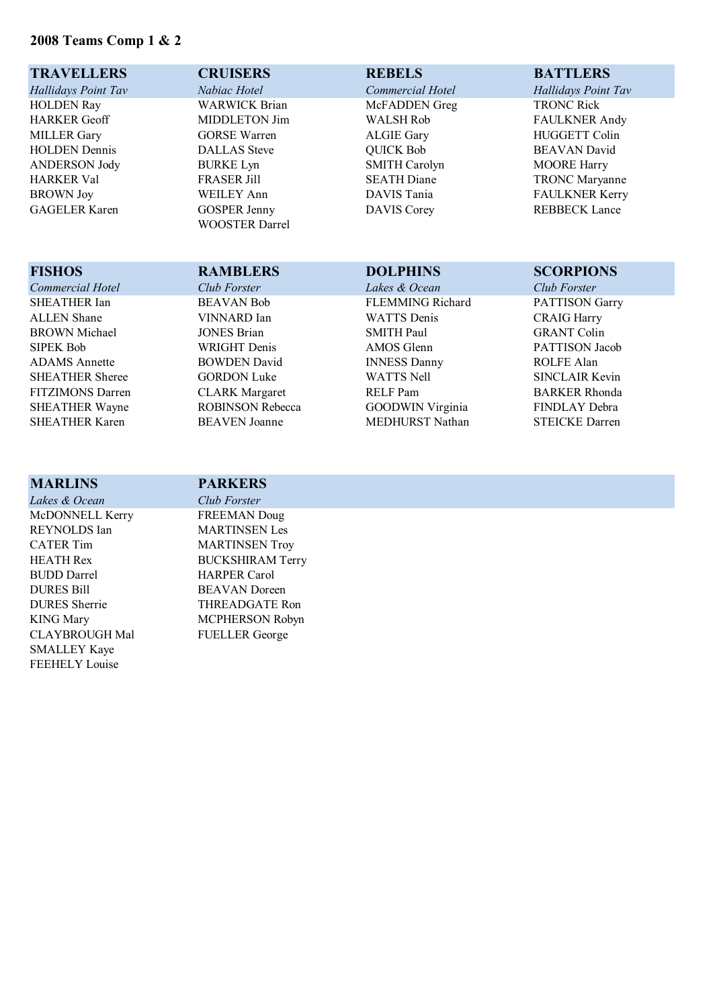## **2008 Teams Comp 1 & 2**

| <b>TRAVELLERS</b>    | <b>CRUISERS</b>       | <b>REBELS</b>        | <b>BATTLERS</b>       |
|----------------------|-----------------------|----------------------|-----------------------|
| Hallidays Point Tav  | Nabiac Hotel          | Commercial Hotel     | Hallidays Point Tav   |
| <b>HOLDEN Ray</b>    | <b>WARWICK Brian</b>  | McFADDEN Greg        | <b>TRONC Rick</b>     |
| <b>HARKER Geoff</b>  | MIDDLETON Jim         | <b>WALSH Rob</b>     | <b>FAULKNER Andy</b>  |
| <b>MILLER Gary</b>   | <b>GORSE Warren</b>   | <b>ALGIE Gary</b>    | <b>HUGGETT Colin</b>  |
| <b>HOLDEN</b> Dennis | <b>DALLAS</b> Steve   | <b>QUICK Bob</b>     | <b>BEAVAN</b> David   |
| <b>ANDERSON Jody</b> | <b>BURKE Lyn</b>      | <b>SMITH Carolyn</b> | <b>MOORE Harry</b>    |
| <b>HARKER Val</b>    | <b>FRASER Jill</b>    | <b>SEATH Diane</b>   | <b>TRONC Maryanne</b> |
| <b>BROWN</b> Joy     | <b>WEILEY Ann</b>     | DAVIS Tania          | <b>FAULKNER Kerry</b> |
| <b>GAGELER Karen</b> | <b>GOSPER Jenny</b>   | <b>DAVIS Corey</b>   | <b>REBBECK Lance</b>  |
|                      | <b>WOOSTER Darrel</b> |                      |                       |

# *Commercial Hotel* Club Forster Lakes Club For  $\mathcal{C}$ ALLEN Shane VINN. BROWN Michael JONES<br>SIPEK Bob WRIGI ADAMS Annette BOWE<br>SHEATHER Sheree GORD

| <b>FISHOS</b>           | <b>RAMBLERS</b>         | <b>DOLPHINS</b>         | <b>SCORPIONS</b>      |
|-------------------------|-------------------------|-------------------------|-----------------------|
| Commercial Hotel        | Club Forster            | Lakes & Ocean           | Club Forster          |
| SHEATHER Ian            | <b>BEAVAN Bob</b>       | <b>FLEMMING Richard</b> | <b>PATTISON Garry</b> |
| <b>ALLEN</b> Shane      | VINNARD Ian             | <b>WATTS</b> Denis      | <b>CRAIG Harry</b>    |
| <b>BROWN</b> Michael    | <b>JONES Brian</b>      | <b>SMITH Paul</b>       | <b>GRANT Colin</b>    |
| <b>SIPEK Bob</b>        | <b>WRIGHT</b> Denis     | AMOS Glenn              | PATTISON Jacob        |
| <b>ADAMS</b> Annette    | <b>BOWDEN David</b>     | <b>INNESS Danny</b>     | ROLFE Alan            |
| <b>SHEATHER Sheree</b>  | <b>GORDON Luke</b>      | <b>WATTS Nell</b>       | SINCLAIR Kevin        |
| <b>FITZIMONS Darren</b> | <b>CLARK Margaret</b>   | <b>RELF</b> Pam         | <b>BARKER Rhonda</b>  |
| SHEATHER Wayne          | <b>ROBINSON Rebecca</b> | <b>GOODWIN Virginia</b> | <b>FINDLAY Debra</b>  |
| <b>SHEATHER Karen</b>   | <b>BEAVEN</b> Joanne    | MEDHURST Nathan         | <b>STEICKE Darren</b> |
|                         |                         |                         |                       |

| <b>MARLINS</b>        | <b>PARKERS</b>          |
|-----------------------|-------------------------|
| Lakes & Ocean         | Club Forster            |
| McDONNELL Kerry       | <b>FREEMAN</b> Doug     |
| REYNOLDS Ian          | <b>MARTINSEN Les</b>    |
| <b>CATER Tim</b>      | <b>MARTINSEN Troy</b>   |
| <b>HEATH Rex</b>      | <b>BUCKSHIRAM Terry</b> |
| <b>BUDD</b> Darrel    | <b>HARPER Carol</b>     |
| <b>DURES Bill</b>     | <b>BEAVAN</b> Doreen    |
| <b>DURES</b> Sherrie  | THREADGATE Ron          |
| <b>KING Mary</b>      | <b>MCPHERSON Robyn</b>  |
| <b>CLAYBROUGH Mal</b> | <b>FUELLER</b> George   |
| <b>SMALLEY Kaye</b>   |                         |
| <b>FEEHELY</b> Louise |                         |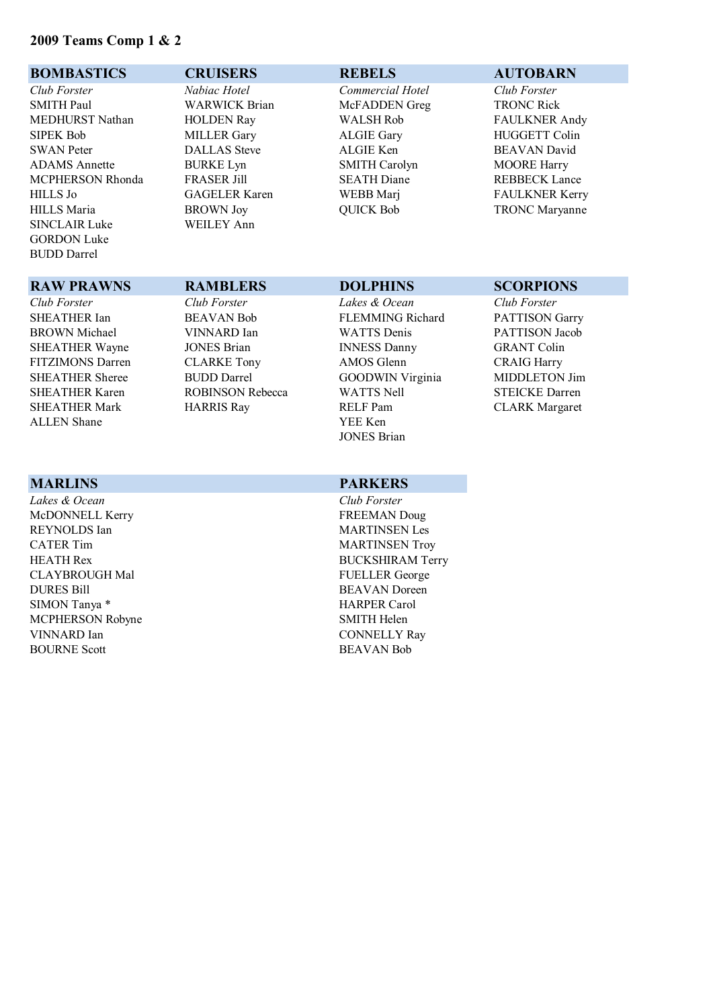### **2009 Teams Comp 1 & 2**

### **BOMBASTICS CRUISERS REBELS AUTOBARN**

*Club Forster Nabiac Hotel Commercial Hotel Club Forster* SMITH Paul **WARWICK Brian** McFADDEN Greg TRONC Rick MEDHURST Nathan HOLDEN Ray WALSH Rob FAULKNER Andy SIPEK Bob MILLER Gary ALGIE Gary HUGGETT Colin SWAN Peter DALLAS Steve ALGIE Ken BEAVAN David ADAMS Annette BURKE Lyn SMITH Carolyn MOORE Harry MCPHERSON Rhonda FRASER Jill SEATH Diane REBBECK Lance HILLS Jo GAGELER Karen WEBB Marj FAULKNER Kerry HILLS Maria BROWN Joy QUICK Bob TRONC Maryanne SINCLAIR Luke WEILEY Ann GORDON Luke BUDD Darrel

### **RAW PRAWNS RAMBLERS DOLPHINS SCORPIONS**

*Club Forster Club Forster Lakes & Ocean Club Forster* ALLEN Shane YEE Ken

*Lakes & Ocean Club Forster* McDONNELL Kerry FREEMAN Doug REYNOLDS Ian MARTINSEN Les CATER Tim MARTINSEN Troy HEATH Rex BUCKSHIRAM Terry CLAYBROUGH Mal FUELLER George DURES Bill BEAVAN Doreen SIMON Tanya \* HARPER Carol MCPHERSON Robyne SMITH Helen VINNARD Ian CONNELLY Ray BOURNE Scott BEAVAN Bob

SHEATHER Ian BEAVAN Bob FLEMMING Richard PATTISON Garry BROWN Michael VINNARD Ian WATTS Denis PATTISON Jacob SHEATHER Wayne JONES Brian INNESS Danny GRANT Colin FITZIMONS Darren CLARKE Tony AMOS Glenn CRAIG Harry SHEATHER Sheree BUDD Darrel GOODWIN Virginia MIDDLETON Jim SHEATHER Karen ROBINSON Rebecca WATTS Nell STEICKE Darren SHEATHER Mark **HARRIS Ray** RELF Pam CLARK Margaret JONES Brian

### **MARLINS PARKERS**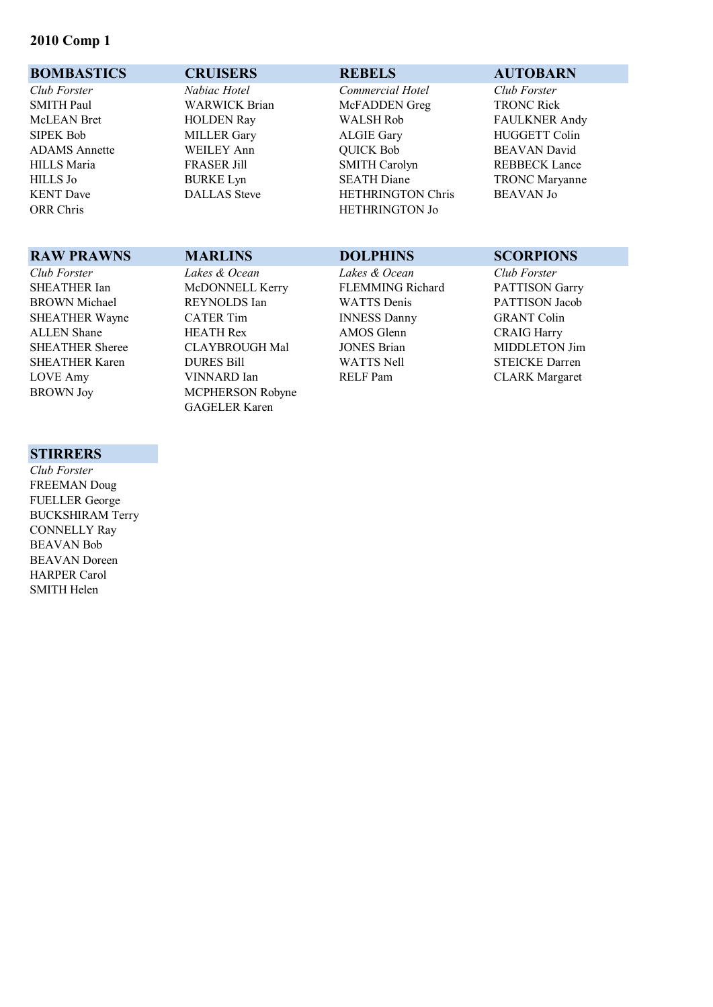### **2010 Comp 1**

### **BOMBASTICS CRUISERS REBELS AUTOBARN**

*Club Forster Nabiac Hotel Commercial Hotel Club Forster* SMITH Paul **WARWICK Brian** McFADDEN Greg TRONC Rick McLEAN Bret HOLDEN Ray WALSH Rob FAULKNER Andy SIPEK Bob MILLER Gary ALGIE Gary HUGGETT Colin ADAMS Annette WEILEY Ann QUICK Bob BEAVAN David HILLS Maria FRASER Jill SMITH Carolyn REBBECK Lance HILLS Jo BURKE Lyn SEATH Diane TRONC Maryanne KENT Dave DALLAS Steve HETHRINGTON Chris BEAVAN Jo<br>
ORR Chris BEAVAN (DRETHRINGTON LO HETHRINGTON Jo

### **STIRRERS**

*Club Forster* FREEMAN Doug FUELLER George BUCKSHIRAM Terry CONNELLY Ray BEAVAN Bob BEAVAN Doreen HARPER Carol SMITH Helen

### **RAW PRAWNS MARLINS DOLPHINS SCORPIONS** *Club Forster Lakes & Ocean Lakes & Ocean Club Forster* McDONNELL Kerry FLEMMING Richard PATTISON Garry BROWN Michael REYNOLDS Ian WATTS Denis PATTISON Jacob SHEATHER Wayne CATER Tim INNESS Danny GRANT Colin ALLEN Shane **HEATH Rex** AMOS Glenn **CRAIG Harry** SHEATHER Sheree CLAYBROUGH Mal JONES Brian MIDDLETON Jim SHEATHER Karen DURES Bill WATTS Nell STEICKE Darren LOVE Amy VINNARD Ian RELF Pam CLARK Margaret BROWN Joy MCPHERSON Robyne

GAGELER Karen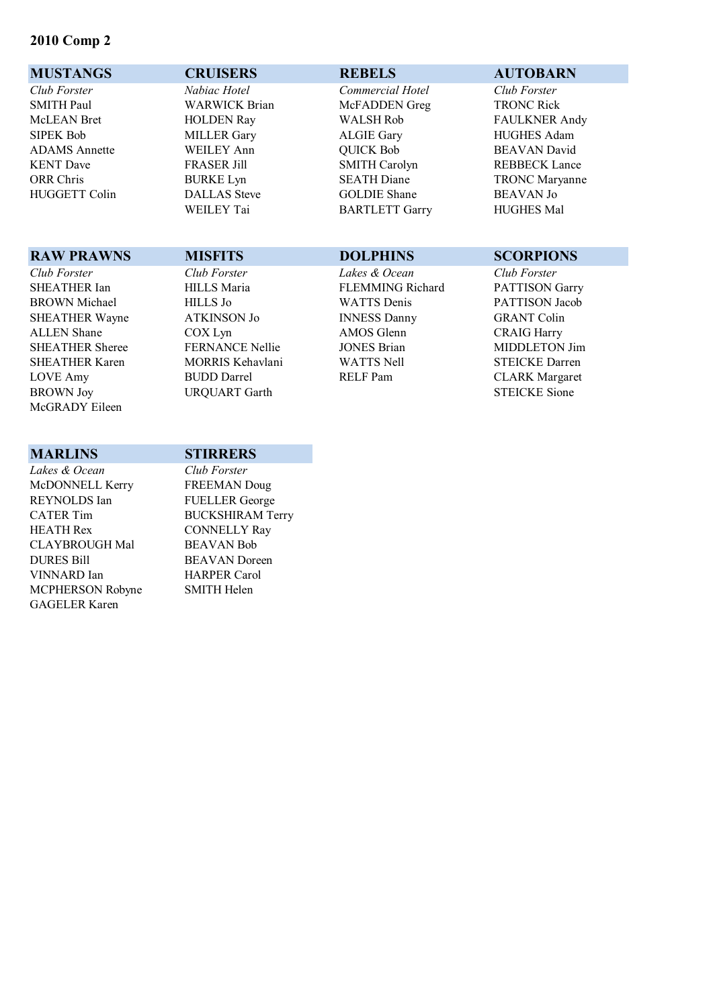### **2010 Comp 2**

### **MUSTANGS CRUISERS REBELS AUTOBARN** *Club Forster Nabiac Hotel Commercial Hotel Club Forster* SMITH Paul **WARWICK Brian** McFADDEN Greg TRONC Rick McLEAN Bret HOLDEN Ray WALSH Rob FAULKNER Andy SIPEK Bob MILLER Gary ALGIE Gary HUGHES Adam ADAMS Annette WEILEY Ann QUICK Bob BEAVAN David KENT Dave FRASER Jill SMITH Carolyn REBBECK Lance ORR Chris BURKE Lyn SEATH Diane TRONC Maryanne HUGGETT Colin DALLAS Steve GOLDIE Shane BEAVAN Jo

### **RAW PRAWNS MISFITS DOLPHINS SCORPIONS**

BROWN Joy URQUART Garth STEICKE Sione McGRADY Eileen

BARTLETT Garry **HUGHES Mal** 

### *Club Forster Club Forster Lakes & Ocean Club Forster* FLEMMING Richard PATTISON Garry BROWN Michael HILLS Jo WATTS Denis PATTISON Jacob SHEATHER Wayne ATKINSON Jo INNESS Danny GRANT Colin ALLEN Shane COX Lyn AMOS Glenn CRAIG Harry SHEATHER Sheree FERNANCE Nellie JONES Brian MIDDLETON Jim SHEATHER Karen MORRIS Kehavlani WATTS Nell STEICKE Darren LOVE Amy BUDD Darrel RELF Pam CLARK Margaret LOVE Amy BUDD Darrel RELF Pam CLARK Margaret

### **MARLINS STIRRERS**

*Lakes & Ocean Club Forster* McDONNELL Kerry FREEMAN Doug REYNOLDS Ian FUELLER George CATER Tim BUCKSHIRAM Terry HEATH Rex CONNELLY Ray CLAYBROUGH Mal BEAVAN Bob DURES Bill BEAVAN Doreen VINNARD Ian HARPER Carol MCPHERSON Robyne SMITH Helen GAGELER Karen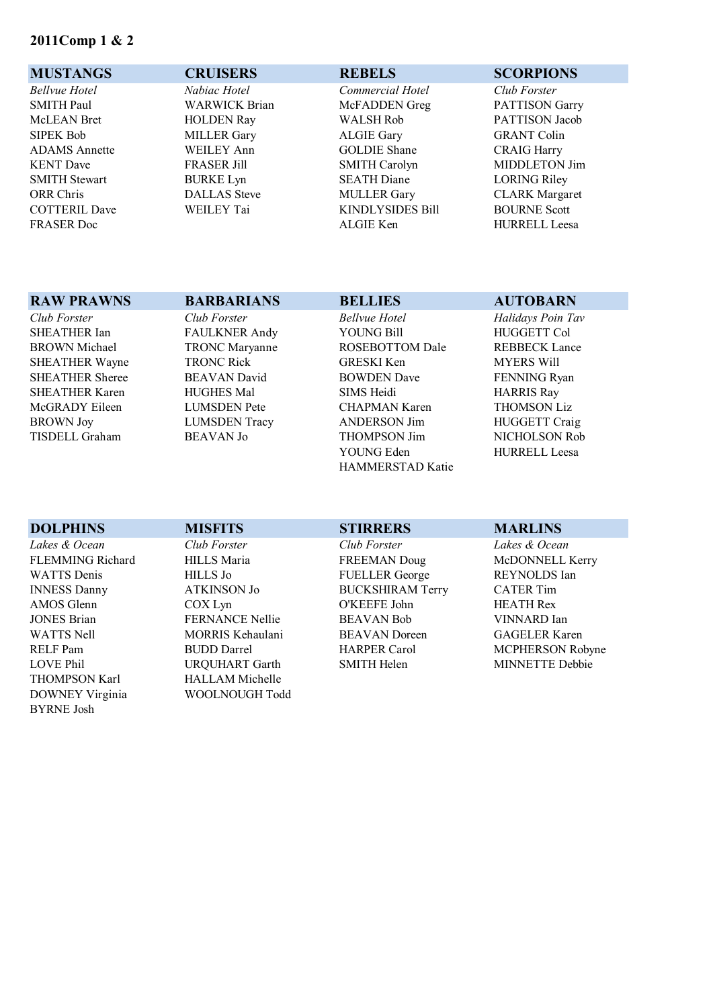### **2011Comp 1 & 2**

### **MUSTANGS CRUISERS REBELS SCORPIONS**

*Bellvue Hotel Nabiac Hotel Commercial Hotel Club Forster*

SMITH Paul WARWICK Brian McFADDEN Greg PATTISON Garry McLEAN Bret HOLDEN Ray WALSH Rob PATTISON Jacob SIPEK Bob MILLER Gary ALGIE Gary GRANT Colin ADAMS Annette WEILEY Ann GOLDIE Shane CRAIG Harry KENT Dave FRASER Jill SMITH Carolyn MIDDLETON Jim SMITH Stewart BURKE Lyn SEATH Diane LORING Riley ORR Chris DALLAS Steve MULLER Gary CLARK Margaret COTTERIL Dave WEILEY Tai KINDLYSIDES Bill BOURNE Scott FRASER Doc **ALGIE Ken** HURRELL Leesa

BYRNE Josh

**RAW PRAWNS BARBARIANS BELLIES AUTOBARN** 

DOWNEY Virginia WOOLNOUGH Todd

### *Club Forster Club Forster Bellvue Hotel Halidays Poin Tav* SHEATHER Ian FAULKNER Andy YOUNG Bill FIUGGETT Col BROWN Michael TRONC Maryanne ROSEBOTTOM Dale REBBECK Lance SHEATHER Wayne TRONC Rick GRESKI Ken MYERS Will<br>SHEATHER Sheree BEAVAN David BOWDEN Dave FENNING Ry SHEATHER Sheree BEAVAN David BOWDEN Dave FENNING Ryan SHEATHER Karen HUGHES Mal SIMS Heidi HARRIS Ray McGRADY Eileen LUMSDEN Pete CHAPMAN Karen THOMSON Liz BROWN Joy LUMSDEN Tracy ANDERSON Jim HUGGETT Craig TISDELL Graham BEAVAN Jo THOMPSON Jim NICHOLSON Rob THOMPSON Jim NICHOLSON Rob THOMPSON Jim NICHOLSON Rob HAMMERSTAD Katie

HURRELL Leesa

| <b>DOLPHINS</b>         | <b>MISFITS</b>         | <b>STIRRERS</b>         | <b>MARLINS</b>       |
|-------------------------|------------------------|-------------------------|----------------------|
| Lakes & Ocean           | Club Forster           | Club Forster            | Lakes & Ocean        |
| <b>FLEMMING Richard</b> | <b>HILLS</b> Maria     | <b>FREEMAN Doug</b>     | McDONNELL Kerry      |
| <b>WATTS</b> Denis      | <b>HILLS</b> Jo        | <b>FUELLER</b> George   | REYNOLDS Ian         |
| <b>INNESS Danny</b>     | <b>ATKINSON Jo</b>     | <b>BUCKSHIRAM Terry</b> | <b>CATER Tim</b>     |
| AMOS Glenn              | $COX$ Lyn              | O'KEEFE John            | <b>HEATH Rex</b>     |
| <b>JONES Brian</b>      | <b>FERNANCE Nellie</b> | <b>BEAVAN Bob</b>       | VINNARD Ian          |
| <b>WATTS Nell</b>       | MORRIS Kehaulani       | <b>BEAVAN</b> Doreen    | <b>GAGELER Karen</b> |
| RELF Pam                | <b>BUDD</b> Darrel     | <b>HARPER Carol</b>     | MCPHERSON Robyne     |
| <b>LOVE Phil</b>        | <b>URQUHART</b> Garth  | <b>SMITH Helen</b>      | MINNETTE Debbie      |
| <b>THOMPSON Karl</b>    | <b>HALLAM Michelle</b> |                         |                      |